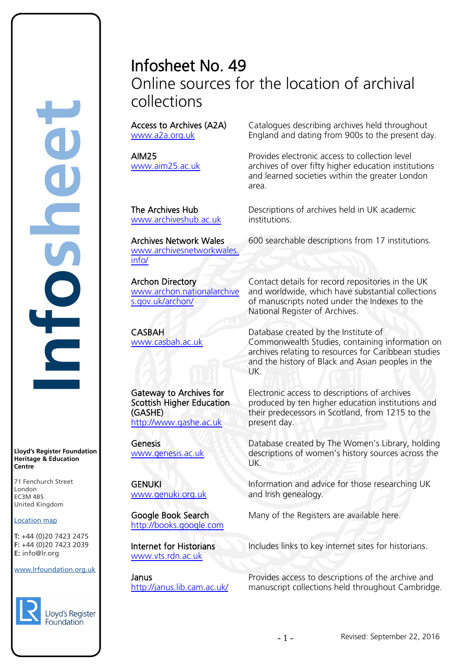## Infosheet No. 49 Online sources for the location of archival collections

Access to Archives (A2A) [www.a2a.org.uk](http://www.a2a.org.uk/)

AIM25 [www.aim25.ac.uk](http://www.aim25.ac.uk/) 

The Archives Hub [www.archiveshub.ac.uk](http://www.archiveshub.ac.uk/)

Archives Network Wales [www.archivesnetworkwales.](http://www.archivesnetworkwales.info/) [info/](http://www.archivesnetworkwales.info/)

Archon Directory [www.archon.nationalarchive](http://www.archon.nationalarchives.gov.uk/archon/) [s.gov.uk/archon/](http://www.archon.nationalarchives.gov.uk/archon/) 

CASBAH [www.casbah.ac.uk](http://www.casbah.ac.uk/) 

Gateway to Archives for Scottish Higher Education (GASHE) [http://www.gashe.ac.uk](http://www.gashe.ac.uk/)

Genesis [www.genesis.ac.uk](http://www.genesis.ac.uk/) 

GENUKI [www.genuki.org.uk](http://www.genuki.org.uk/)

Google Book Search [http://books.google.com](http://books.google.com/)

Internet for Historians [www.vts.rdn.ac.uk](http://www.vts.rdn.ac.uk/)

Janus <http://janus.lib.cam.ac.uk/> Catalogues describing archives held throughout England and dating from 900s to the present day.

Provides electronic access to collection level archives of over fifty higher education institutions and learned societies within the greater London area.

Descriptions of archives held in UK academic institutions.

600 searchable descriptions from 17 institutions.

Contact details for record repositories in the UK and worldwide, which have substantial collections of manuscripts noted under the Indexes to the National Register of Archives.

Database created by the Institute of Commonwealth Studies, containing information on archives relating to resources for Caribbean studies and the history of Black and Asian peoples in the UK.

Electronic access to descriptions of archives produced by ten higher education institutions and their predecessors in Scotland, from 1215 to the present day.

Database created by The Women's Library, holding descriptions of women's history sources across the UK.

Information and advice for those researching UK and Irish genealogy.

Many of the Registers are available here.

Includes links to key internet sites for historians.

Provides access to descriptions of the archive and manuscript collections held throughout Cambridge.



www.lrfoundation.org.uk

 $F \rightarrow (0/20, 1 + 2)$ 

**Lloyd's Register Foundation Heritage & Education**

rd's Register Foundat<br>
itage & Education<br>
tre<br>
Eenchurch Street<br>
don<br>
M 4BS<br>
ted Kingdom<br>
ation map<br>
44 (0)20 7423 2475<br>
44 (0)20 7423 2039<br>
nfo@lr.org

Č

71 Fenchurch Street London Information Services EC3M 4BS United Kingdom

Location map T: +44 (0)20 7423 2475 **F:** +44 (0)20 7423 2039 Fax: +44 (0)20 7423 2039

EC3M 4BS

**E:** info@lr.org

**Centre**

**Infosheet**